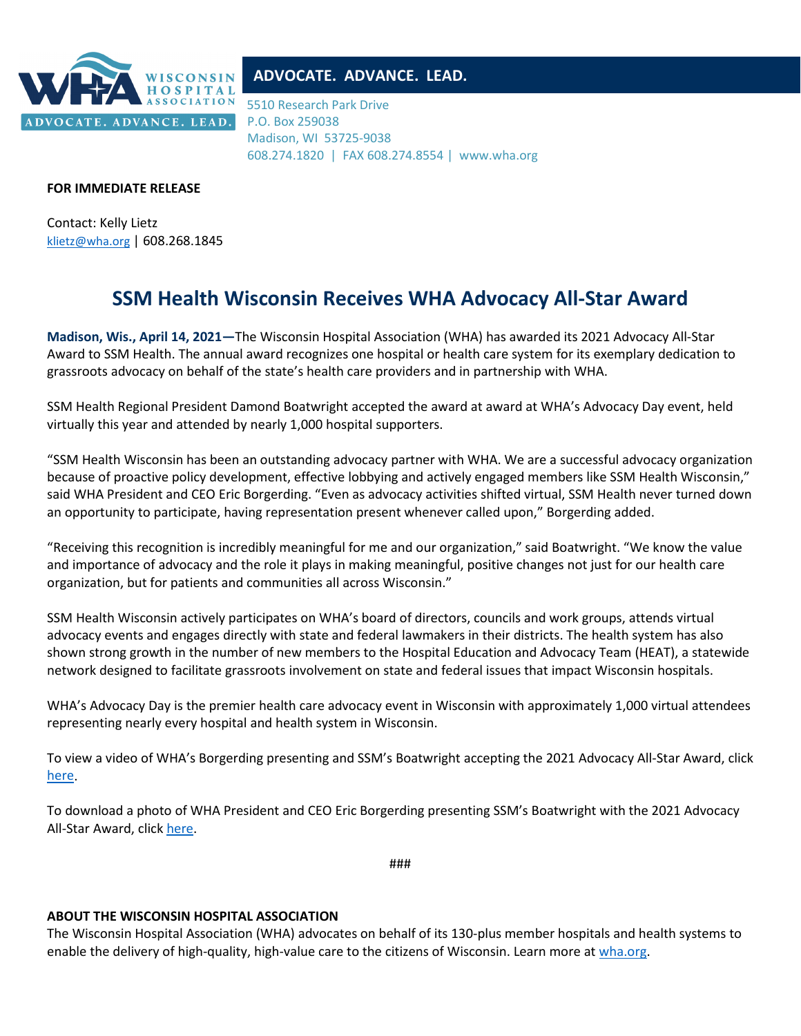

## **ADVOCATE. ADVANCE. LEAD.**

5510 Research Park Drive P.O. Box 259038 Madison, WI 53725-9038 608.274.1820 | FAX 608.274.8554 | www.wha.org

## **FOR IMMEDIATE RELEASE**

Contact: Kelly Lietz [klietz@wha.org](mailto:klietz@wha.org) | 608.268.1845

## **SSM Health Wisconsin Receives WHA Advocacy All-Star Award**

**Madison, Wis., April 14, 2021—**The Wisconsin Hospital Association (WHA) has awarded its 2021 Advocacy All-Star Award to SSM Health. The annual award recognizes one hospital or health care system for its exemplary dedication to grassroots advocacy on behalf of the state's health care providers and in partnership with WHA.

SSM Health Regional President Damond Boatwright accepted the award at award at WHA's Advocacy Day event, held virtually this year and attended by nearly 1,000 hospital supporters.

"SSM Health Wisconsin has been an outstanding advocacy partner with WHA. We are a successful advocacy organization because of proactive policy development, effective lobbying and actively engaged members like SSM Health Wisconsin," said WHA President and CEO Eric Borgerding. "Even as advocacy activities shifted virtual, SSM Health never turned down an opportunity to participate, having representation present whenever called upon," Borgerding added.

"Receiving this recognition is incredibly meaningful for me and our organization," said Boatwright. "We know the value and importance of advocacy and the role it plays in making meaningful, positive changes not just for our health care organization, but for patients and communities all across Wisconsin."

SSM Health Wisconsin actively participates on WHA's board of directors, councils and work groups, attends virtual advocacy events and engages directly with state and federal lawmakers in their districts. The health system has also shown strong growth in the number of new members to the Hospital Education and Advocacy Team (HEAT), a statewide network designed to facilitate grassroots involvement on state and federal issues that impact Wisconsin hospitals.

WHA's Advocacy Day is the premier health care advocacy event in Wisconsin with approximately 1,000 virtual attendees representing nearly every hospital and health system in Wisconsin.

To view a video of WHA's Borgerding presenting and SSM's Boatwright accepting the 2021 Advocacy All-Star Award, click [here.](https://vimeo.com/528953193/58014446a6)

To download a photo of WHA President and CEO Eric Borgerding presenting SSM's Boatwright with the 2021 Advocacy All-Star Award, click [here.](http://www.wha.org/WisconsinHospitalAssociation/media/images/Advocacy/DBoatwright2021AllStar.JPG)

###

## **ABOUT THE WISCONSIN HOSPITAL ASSOCIATION**

The Wisconsin Hospital Association (WHA) advocates on behalf of its 130-plus member hospitals and health systems to enable the delivery of high-quality, high-value care to the citizens of Wisconsin. Learn more at [wha.org.](http://www.wha.org/)